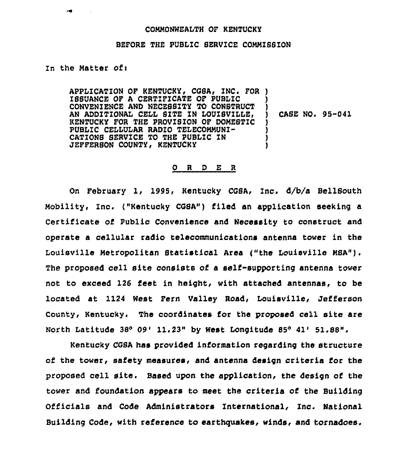## COMMONWEALTH OF KENTUCKY

## BEFORE THE PUBLIC SERVICE COMMZSSZON

## zn the Matter ofi

APPLICATION OF KENTUCKY, CGSA, INC. FOR ) ISSUANCE OF A CERTIFICATE OF PUBLIC CONVENIENCE AND NECEBSITY TO CONBTRUCT AN ADDITIONAL CELL SITE IN LOUISVILLE, KENTUCKY FOR THE PROVISION OF DOMESTIC PUBLIC CEZLULAR RADIO TELECOMMUNI-CATIONS SERVICE TO THE PUBLIC IN JEFFERSON COUNTY, KENTUCKY ) ) ) CASE NO. 95-041 ) ) ) )

## 0 <sup>R</sup> <sup>D</sup> E <sup>R</sup>

On February 1, 1995, Kentucky CGSA, Inc. d/b/a BellSouth Mobility, Inc. ("Kentucky COSA") filed an application seeking a Certificate of Public Convenience and Necessity to construct and operate a cellular radio telecommunications antenna tower in the Louisville Hetropolitan Statistical Area {"the Louisville HSA"). The proposed cell site consists of a self-supporting antenna tower not to exceed 126 feet in height, with attached antennas, to be located at 1124 Hest Fern Valley Road, Louisville, Jefferson County, Kentucky. The coordinates for the proposed cell site are North Latitude  $38^{\circ}$  09' 11.23" by West Longitude  $85^{\circ}$  41' 51.88".

Kentucky CGSA has provided information regarding the structure of the tower, safety measures, and antenna design criteria for the proposed cell site. Based upon the application, the design of the tower and foundation appears to meet the criteria of the Building Officials and Code Administrators International, Inc. National Building Code, with reference to earthquakes, winds, and tornadoes.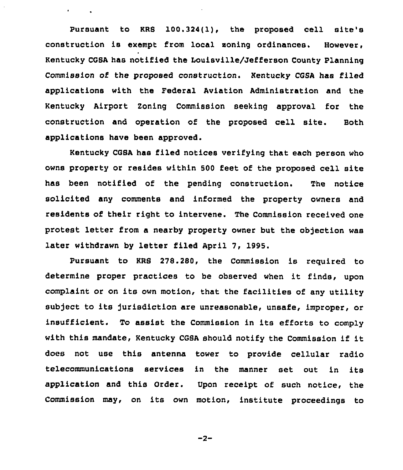Pursuant to KRS  $100.324(1)$ , the proposed cell site's construction is exempt from local soning ordinances. However, Kentucky CGSA has notified the Louisville/Jefferson County Planning Commission of the proposed construction. Kentucky CGSA has filed applications with the Federal Aviation Administration and the Kentucky Airport Zoning Commission seeking approval for the construction and operation of the proposed cell site. Both applications have been approved.

 $\mathbf{r} = \mathbf{r} + \mathbf{r}$  .

Kentucky CGSA has filed notices verifying that each person who owns property or resides within 500 feet of the proposed cell site has been notified of the pending construction. The notice solicited any comments and informed the property owners and residents of their right to intervene. The Commission received one protest letter from a nearby property owner but the objection was later withdrawn by letter filed April 7, 1995.

Pursuant to KRS 278.280, the Commission is required to determine proper practices to be observed when it finds, upon complaint or on its own motion, that the facilities of any utility subject to its jurisdiction are unreasonable, unsafe, improper, or insufficient. To assist the Commission in its efforts to comply with this mandate, Kentucky CGSA should notify the Commission if it does not use this antenna tower to provide cellular radio telecommunications services in the manner set out in its application and this Order. Upon receipt of such notice, the Commission may, on its own motion, institute proceedings to

 $-2-$